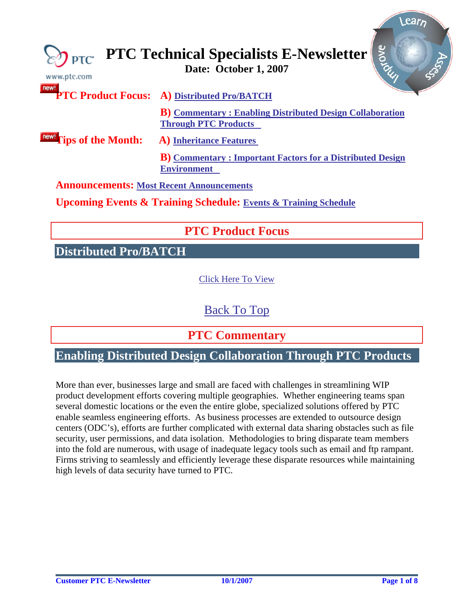<span id="page-0-0"></span>

| www.ptc.com                                                                    | Bronc<br>$\bigotimes_{\mathsf{PTC}}$ PTC Technical Specialists E-Newsletter                     |  |
|--------------------------------------------------------------------------------|-------------------------------------------------------------------------------------------------|--|
| new!                                                                           | PTC Product Focus: A) Distributed Pro/BATCH                                                     |  |
|                                                                                | <b>B</b> ) Commentary: Enabling Distributed Design Collaboration<br><b>Through PTC Products</b> |  |
| <b>new!</b> Tips of the Month:                                                 | <b>A)</b> Inheritance Features                                                                  |  |
|                                                                                | <b>B</b> ) Commentary: Important Factors for a Distributed Design<br><b>Environment</b>         |  |
| <b>Announcements: Most Recent Announcements</b>                                |                                                                                                 |  |
| <b>Upcoming Events &amp; Training Schedule: Events &amp; Training Schedule</b> |                                                                                                 |  |
|                                                                                |                                                                                                 |  |

# **PTC Product Focus**

**Distributed Pro/BATCH** 

[Click Here To View](http://members.shaw.ca/jpeng/newsletter/PTC_Technical_Specialists_E-Newsletter_10-01-2007_desktop.pdf)

[Back To Top](#page-0-0)

 **PTC Commentary**

### **Enabling Distributed Design Collaboration Through PTC Products**

More than ever, businesses large and small are faced with challenges in streamlining WIP product development efforts covering multiple geographies. Whether engineering teams span several domestic locations or the even the entire globe, specialized solutions offered by PTC enable seamless engineering efforts. As business processes are extended to outsource design centers (ODC's), efforts are further complicated with external data sharing obstacles such as file security, user permissions, and data isolation. Methodologies to bring disparate team members into the fold are numerous, with usage of inadequate legacy tools such as email and ftp rampant. Firms striving to seamlessly and efficiently leverage these disparate resources while maintaining high levels of data security have turned to PTC.

**Sear**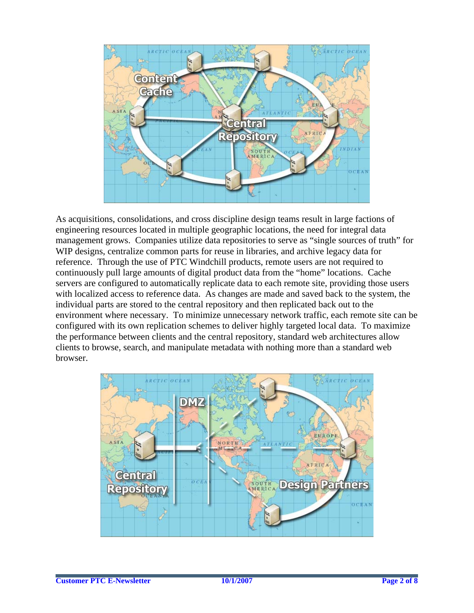

As acquisitions, consolidations, and cross discipline design teams result in large factions of engineering resources located in multiple geographic locations, the need for integral data management grows. Companies utilize data repositories to serve as "single sources of truth" for WIP designs, centralize common parts for reuse in libraries, and archive legacy data for reference. Through the use of PTC Windchill products, remote users are not required to continuously pull large amounts of digital product data from the "home" locations. Cache servers are configured to automatically replicate data to each remote site, providing those users with localized access to reference data. As changes are made and saved back to the system, the individual parts are stored to the central repository and then replicated back out to the environment where necessary. To minimize unnecessary network traffic, each remote site can be configured with its own replication schemes to deliver highly targeted local data. To maximize the performance between clients and the central repository, standard web architectures allow clients to browse, search, and manipulate metadata with nothing more than a standard web browser.

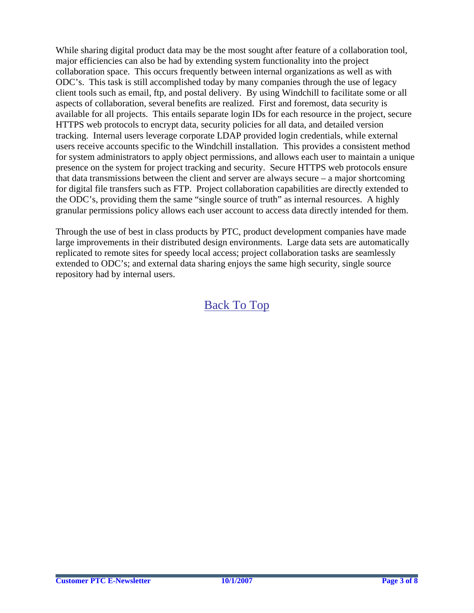While sharing digital product data may be the most sought after feature of a collaboration tool, major efficiencies can also be had by extending system functionality into the project collaboration space. This occurs frequently between internal organizations as well as with ODC's. This task is still accomplished today by many companies through the use of legacy client tools such as email, ftp, and postal delivery. By using Windchill to facilitate some or all aspects of collaboration, several benefits are realized. First and foremost, data security is available for all projects. This entails separate login IDs for each resource in the project, secure HTTPS web protocols to encrypt data, security policies for all data, and detailed version tracking. Internal users leverage corporate LDAP provided login credentials, while external users receive accounts specific to the Windchill installation. This provides a consistent method for system administrators to apply object permissions, and allows each user to maintain a unique presence on the system for project tracking and security. Secure HTTPS web protocols ensure that data transmissions between the client and server are always secure – a major shortcoming for digital file transfers such as FTP. Project collaboration capabilities are directly extended to the ODC's, providing them the same "single source of truth" as internal resources. A highly granular permissions policy allows each user account to access data directly intended for them.

Through the use of best in class products by PTC, product development companies have made large improvements in their distributed design environments. Large data sets are automatically replicated to remote sites for speedy local access; project collaboration tasks are seamlessly extended to ODC's; and external data sharing enjoys the same high security, single source repository had by internal users.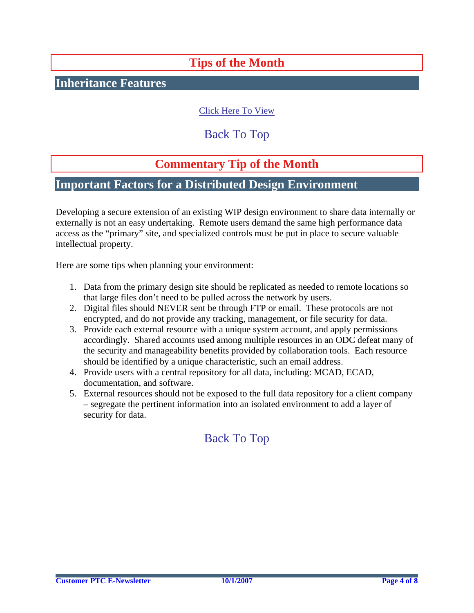# **Tips of the Month**

### <span id="page-3-0"></span>**Inheritance Features**

### [Click Here To View](http://members.shaw.ca/jpeng/newsletter/PTC_Technical_Specialists_E-Newsletter_10-01-2007_desktop.pdf)

### [Back To Top](#page-0-0)

# **Commentary Tip of the Month**

### **Important Factors for a Distributed Design Environment**

Developing a secure extension of an existing WIP design environment to share data internally or externally is not an easy undertaking. Remote users demand the same high performance data access as the "primary" site, and specialized controls must be put in place to secure valuable intellectual property.

Here are some tips when planning your environment:

- 1. Data from the primary design site should be replicated as needed to remote locations so that large files don't need to be pulled across the network by users.
- 2. Digital files should NEVER sent be through FTP or email. These protocols are not encrypted, and do not provide any tracking, management, or file security for data.
- 3. Provide each external resource with a unique system account, and apply permissions accordingly. Shared accounts used among multiple resources in an ODC defeat many of the security and manageability benefits provided by collaboration tools. Each resource should be identified by a unique characteristic, such an email address.
- 4. Provide users with a central repository for all data, including: MCAD, ECAD, documentation, and software.
- 5. External resources should not be exposed to the full data repository for a client company – segregate the pertinent information into an isolated environment to add a layer of security for data.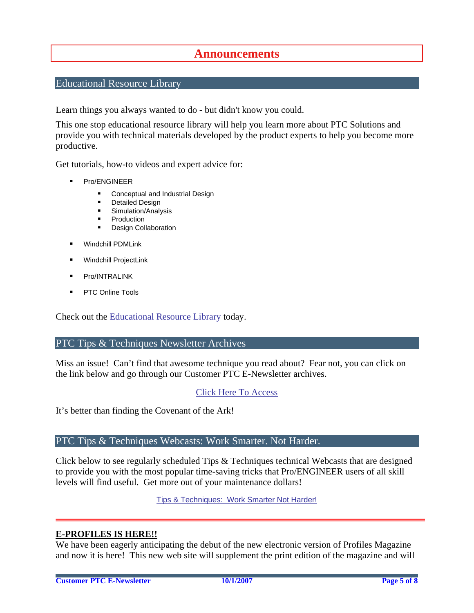### **Announcements**

### <span id="page-4-0"></span>Educational Resource Library

Learn things you always wanted to do - but didn't know you could.

This one stop educational resource library will help you learn more about PTC Solutions and provide you with technical materials developed by the product experts to help you become more productive.

Get tutorials, how-to videos and expert advice for:

- **Pro/ENGINEER** 
	- **EXECONCEPT** Conceptual and Industrial Design
	- **•** Detailed Design
	- **Simulation/Analysis**
	- Production
	- **Design Collaboration**
- Windchill PDMLink
- Windchill ProjectLink
- Pro/INTRALINK
- PTC Online Tools

Check out the [Educational Resource Library](http://www.ptc.com/community/proewf/newtools/tutorials.htm) today.

#### PTC Tips & Techniques Newsletter Archives

Miss an issue! Can't find that awesome technique you read about? Fear not, you can click on the link below and go through our Customer PTC E-Newsletter archives.

#### [Click Here To Access](http://www.ptc.com/carezone/archive/index.htm)

It's better than finding the Covenant of the Ark!

#### PTC Tips & Techniques Webcasts: Work Smarter. Not Harder.

Click below to see regularly scheduled Tips & Techniques technical Webcasts that are designed to provide you with the most popular time-saving tricks that Pro/ENGINEER users of all skill levels will find useful. Get more out of your maintenance dollars!

Tips & Techniques: Work Smarter Not Harder!

#### **E-PROFILES IS HERE!!**

We have been eagerly anticipating the debut of the new electronic version of Profiles Magazine and now it is here! This new web site will supplement the print edition of the magazine and will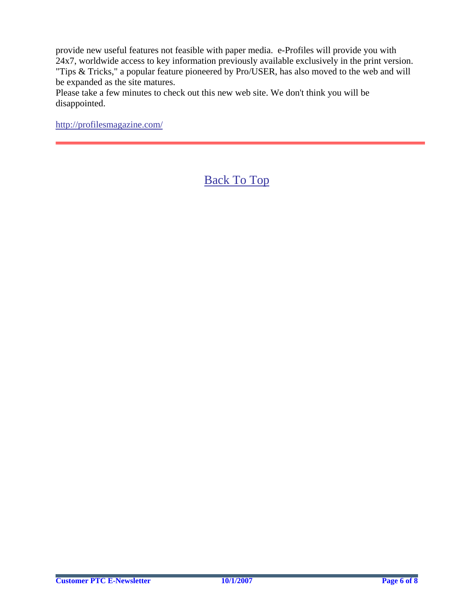provide new useful features not feasible with paper media. e-Profiles will provide you with 24x7, worldwide access to key information previously available exclusively in the print version. "Tips & Tricks," a popular feature pioneered by Pro/USER, has also moved to the web and will be expanded as the site matures.

Please take a few minutes to check out this new web site. We don't think you will be disappointed.

<http://profilesmagazine.com/>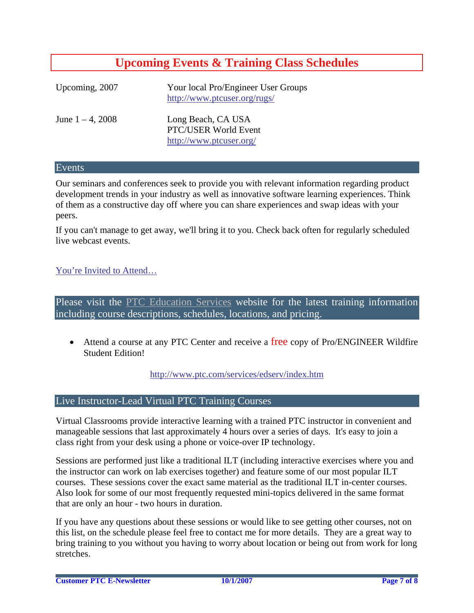# **Upcoming Events & Training Class Schedules**

<span id="page-6-0"></span>

| Upcoming, 2007      | Your local Pro/Engineer User Groups<br>http://www.ptcuser.org/rugs/   |
|---------------------|-----------------------------------------------------------------------|
| June $1 - 4$ , 2008 | Long Beach, CA USA<br>PTC/USER World Event<br>http://www.ptcuser.org/ |

#### Events

Our seminars and conferences seek to provide you with relevant information regarding product development trends in your industry as well as innovative software learning experiences. Think of them as a constructive day off where you can share experiences and swap ideas with your peers.

If you can't manage to get away, we'll bring it to you. Check back often for regularly scheduled live webcast events.

### [You're Invited to Attend…](http://www.ptc.com/company/news/events/index.htm)

Please visit the [PTC Education Services](http://www.ptc.com/services/edserv/) website for the latest training information including course descriptions, schedules, locations, and pricing.

• Attend a course at any PTC Center and receive a free copy of Pro/ENGINEER Wildfire Student Edition!

<http://www.ptc.com/services/edserv/index.htm>

#### Live Instructor-Lead Virtual PTC Training Courses

Virtual Classrooms provide interactive learning with a trained PTC instructor in convenient and manageable sessions that last approximately 4 hours over a series of days. It's easy to join a class right from your desk using a phone or voice-over IP technology.

Sessions are performed just like a traditional ILT (including interactive exercises where you and the instructor can work on lab exercises together) and feature some of our most popular ILT courses. These sessions cover the exact same material as the traditional ILT in-center courses. Also look for some of our most frequently requested mini-topics delivered in the same format that are only an hour - two hours in duration.

If you have any questions about these sessions or would like to see getting other courses, not on this list, on the schedule please feel free to contact me for more details. They are a great way to bring training to you without you having to worry about location or being out from work for long stretches.